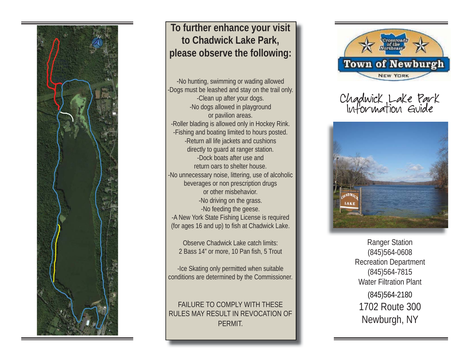

### **To further enhance your visit to Chadwick Lake Park, please observe the following:**

-No hunting, swimming or wading allowed -Dogs must be leashed and stay on the trail only. -Clean up after your dogs. -No dogs allowed in playground or pavilion areas. -Roller blading is allowed only in Hockey Rink. -Fishing and boating limited to hours posted. -Return all life jackets and cushions directly to guard at ranger station. -Dock boats after use and return oars to shelter house.-No unnecessary noise, littering, use of alcoholic beverages or non prescription drugs or other misbehavior. -No driving on the grass. -No feeding the geese. -A New York State Fishing License is required (for ages 16 and up) to fish at Chadwick Lake.

Observe Chadwick Lake catch limits: 2 Bass 14" or more, 10 Pan fish, 5 Trout

-Ice Skating only permitted when suitable conditions are determined by the Commissioner.

#### FAILURE TO COMPLY WITH THESE RULES MAY RESULT IN REVOCATION OF PERMIT.



Chadwick Lake Park Information Guide



Ranger Station (845)564-0608 Recreation Department (845)564-7815 Water Filtration Plant(845)564-2180 1702 Route 300Newburgh, NY